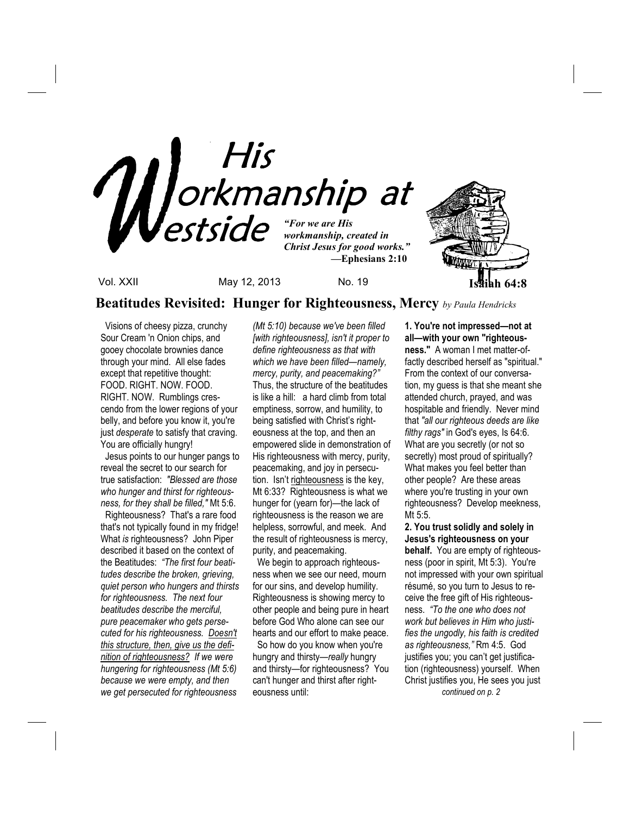

**Beatitudes Revisited: Hunger for Righteousness, Mercy** *by Paula Hendricks*

 Visions of cheesy pizza, crunchy Sour Cream 'n Onion chips, and gooey chocolate brownies dance through your mind. All else fades except that repetitive thought: FOOD. RIGHT. NOW. FOOD. RIGHT. NOW. Rumblings crescendo from the lower regions of your belly, and before you know it, you're just *desperate* to satisfy that craving. You are officially hungry!

 Jesus points to our hunger pangs to reveal the secret to our search for true satisfaction: *"Blessed are those who hunger and thirst for righteousness, for they shall be filled,"* Mt 5:6.

 Righteousness? That's a rare food that's not typically found in my fridge! What *is* righteousness? John Piper described it based on the context of the Beatitudes: *"The first four beatitudes describe the broken, grieving, quiet person who hungers and thirsts for righteousness. The next four beatitudes describe the merciful, pure peacemaker who gets persecuted for his righteousness. Doesn't this structure, then, give us the definition of righteousness? If we were hungering for righteousness (Mt 5:6) because we were empty, and then we get persecuted for righteousness* 

*(Mt 5:10) because we've been filled [with righteousness], isn't it proper to define righteousness as that with which we have been filled—namely, mercy, purity, and peacemaking?"*  Thus, the structure of the beatitudes is like a hill: a hard climb from total emptiness, sorrow, and humility, to being satisfied with Christ's righteousness at the top, and then an empowered slide in demonstration of His righteousness with mercy, purity, peacemaking, and joy in persecution. Isn't righteousness is the key, Mt 6:33? Righteousness is what we hunger for (yearn for)—the lack of righteousness is the reason we are helpless, sorrowful, and meek. And the result of righteousness is mercy, purity, and peacemaking.

We begin to approach righteousness when we see our need, mourn for our sins, and develop humility. Righteousness is showing mercy to other people and being pure in heart before God Who alone can see our hearts and our effort to make peace.

 So how do you know when you're hungry and thirsty—*really* hungry and thirsty—for righteousness? You can't hunger and thirst after righteousness until:

**1. You're not impressed—not at all—with your own "righteousness."** A woman I met matter-offactly described herself as "spiritual." From the context of our conversation, my guess is that she meant she attended church, prayed, and was hospitable and friendly. Never mind that *"all our righteous deeds are like filthy rags"* in God's eyes, Is 64:6. What are you secretly (or not so secretly) most proud of spiritually? What makes you feel better than other people? Are these areas where you're trusting in your own righteousness? Develop meekness, Mt 5:5.

**2. You trust solidly and solely in Jesus's righteousness on your behalf.** You are empty of righteousness (poor in spirit, Mt 5:3). You're not impressed with your own spiritual résumé, so you turn to Jesus to receive the free gift of His righteousness. *"To the one who does not work but believes in Him who justifies the ungodly, his faith is credited as righteousness,"* Rm 4:5. God justifies you; you can't get justification (righteousness) yourself. When Christ justifies you, He sees you just  *continued on p. 2*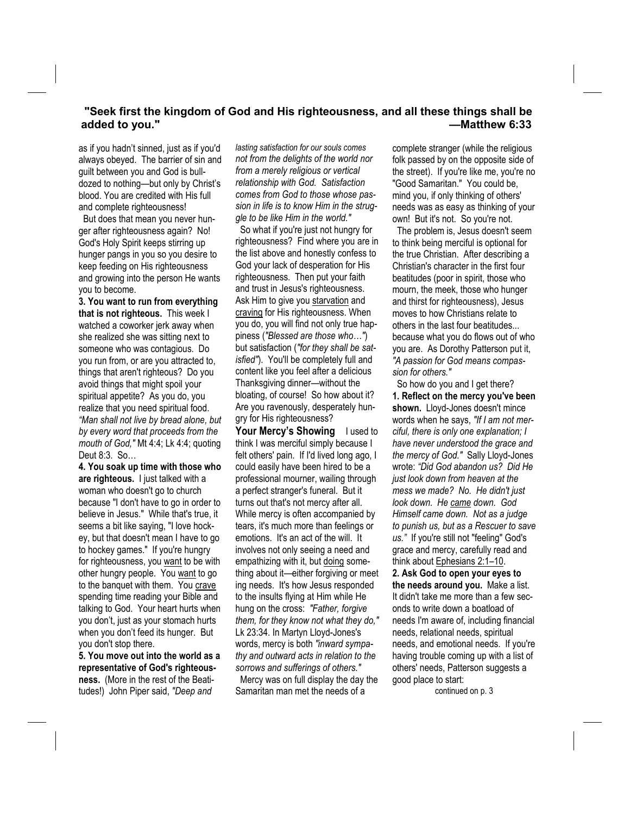### **"Seek first the kingdom of God and His righteousness, and all these things shall be**  added to you." **All and Section 2008 —Matthew 6:33 —Matthew 6:33**

as if you hadn't sinned, just as if you'd always obeyed. The barrier of sin and guilt between you and God is bulldozed to nothing—but only by Christ's blood. You are credited with His full and complete righteousness!

 But does that mean you never hunger after righteousness again? No! God's Holy Spirit keeps stirring up hunger pangs in you so you desire to keep feeding on His righteousness and growing into the person He wants you to become.

**3. You want to run from everything that is not righteous.** This week I watched a coworker jerk away when she realized she was sitting next to someone who was contagious. Do you run from, or are you attracted to, things that aren't righteous? Do you avoid things that might spoil your spiritual appetite? As you do, you realize that you need spiritual food. *"Man shall not live by bread alone, but by every word that proceeds from the mouth of God,"* Mt 4:4; Lk 4:4; quoting Deut 8:3. So…

**4. You soak up time with those who are righteous.** I just talked with a woman who doesn't go to church because "I don't have to go in order to believe in Jesus." While that's true, it seems a bit like saying, "I love hockey, but that doesn't mean I have to go to hockey games." If you're hungry for righteousness, you want to be with other hungry people. You want to go to the banquet with them. You crave spending time reading your Bible and talking to God. Your heart hurts when you don't, just as your stomach hurts when you don't feed its hunger. But you don't stop there.

**5. You move out into the world as a representative of God's righteousness.** (More in the rest of the Beatitudes!) John Piper said, *"Deep and* 

*lasting satisfaction for our souls comes not from the delights of the world nor from a merely religious or vertical relationship with God. Satisfaction comes from God to those whose passion in life is to know Him in the struggle to be like Him in the world."* 

 So what if you're just not hungry for righteousness? Find where you are in the list above and honestly confess to God your lack of desperation for His righteousness. Then put your faith and trust in Jesus's righteousness. Ask Him to give you starvation and craving for His righteousness. When you do, you will find not only true happiness (*"Blessed are those who…"*) but satisfaction (*"for they shall be satisfied"*). You'll be completely full and content like you feel after a delicious Thanksgiving dinner—without the bloating, of course! So how about it? Are you ravenously, desperately hungry for His righteousness?

**Your Mercy's Showing** I used to think I was merciful simply because I felt others' pain. If I'd lived long ago, I could easily have been hired to be a professional mourner, wailing through a perfect stranger's funeral. But it turns out that's not mercy after all. While mercy is often accompanied by tears, it's much more than feelings or emotions. It's an act of the will. It involves not only seeing a need and empathizing with it, but doing something about it—either forgiving or meet ing needs. It's how Jesus responded to the insults flying at Him while He hung on the cross: *"Father, forgive them, for they know not what they do,"* Lk 23:34. In Martyn Lloyd-Jones's words, mercy is both *"inward sympathy and outward acts in relation to the sorrows and sufferings of others."* Mercy was on full display the day the Samaritan man met the needs of a

complete stranger (while the religious folk passed by on the opposite side of the street). If you're like me, you're no "Good Samaritan." You could be, mind you, if only thinking of others' needs was as easy as thinking of your own! But it's not. So you're not.

 The problem is, Jesus doesn't seem to think being merciful is optional for the true Christian. After describing a Christian's character in the first four beatitudes (poor in spirit, those who mourn, the meek, those who hunger and thirst for righteousness), Jesus moves to how Christians relate to others in the last four beatitudes... because what you do flows out of who you are. As Dorothy Patterson put it, *"A passion for God means compassion for others."* 

 So how do you and I get there? **1. Reflect on the mercy you've been shown.** Lloyd-Jones doesn't mince words when he says, *"If I am not merciful, there is only one explanation; I have never understood the grace and the mercy of God."* Sally Lloyd-Jones wrote: *"Did God abandon us? Did He just look down from heaven at the mess we made? No. He didn't just look down. He came down. God Himself came down. Not as a judge to punish us, but as a Rescuer to save us."* If you're still not "feeling" God's grace and mercy, carefully read and think about Ephesians 2:1–10. **2. Ask God to open your eyes to the needs around you.** Make a list. It didn't take me more than a few seconds to write down a boatload of

needs I'm aware of, including financial needs, relational needs, spiritual needs, and emotional needs. If you're having trouble coming up with a list of others' needs, Patterson suggests a good place to start: continued on p. 3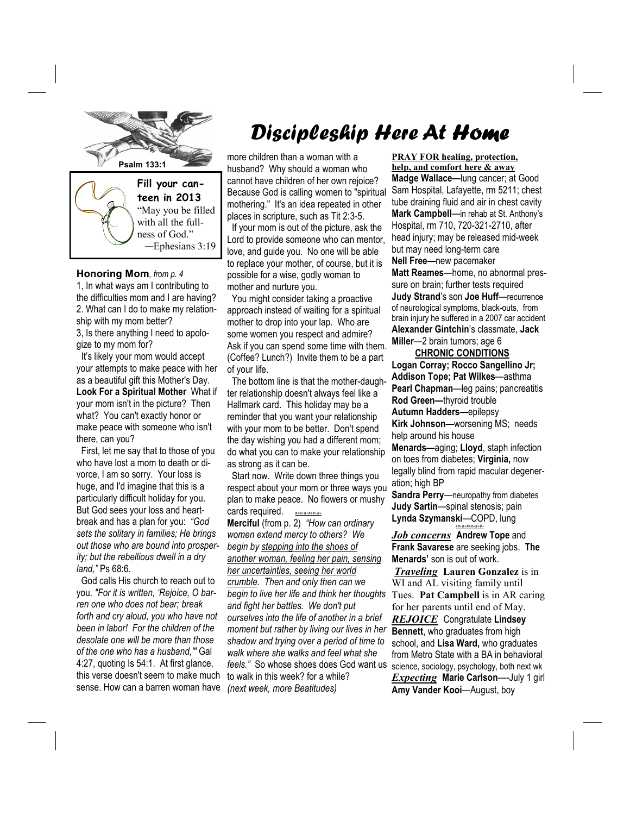

**Honoring Mom***, from p. 4* 1, In what ways am I contributing to the difficulties mom and I are having? 2. What can I do to make my relationship with my mom better? 3, Is there anything I need to apolo-

gize to my mom for?

 It's likely your mom would accept your attempts to make peace with her as a beautiful gift this Mother's Day. **Look For a Spiritual Mother** What if your mom isn't in the picture? Then what? You can't exactly honor or make peace with someone who isn't there, can you?

 First, let me say that to those of you who have lost a mom to death or divorce, I am so sorry. Your loss is huge, and I'd imagine that this is a particularly difficult holiday for you. But God sees your loss and heartbreak and has a plan for you: *"God sets the solitary in families; He brings out those who are bound into prosperity; but the rebellious dwell in a dry land,"* Ps 68:6.

 God calls His church to reach out to you. *"For it is written, 'Rejoice, O barren one who does not bear; break forth and cry aloud, you who have not been in labor! For the children of the desolate one will be more than those of the one who has a husband,'"* Gal 4:27, quoting Is 54:1. At first glance, this verse doesn't seem to make much sense. How can a barren woman have

# Discipleship Here At Home

more children than a woman with a husband? Why should a woman who cannot have children of her own rejoice? Because God is calling women to "spiritual mothering." It's an idea repeated in other places in scripture, such as Tit 2:3-5.

 If your mom is out of the picture, ask the Lord to provide someone who can mentor, love, and guide you. No one will be able to replace your mother, of course, but it is possible for a wise, godly woman to mother and nurture you.

 You might consider taking a proactive approach instead of waiting for a spiritual mother to drop into your lap. Who are some women you respect and admire? Ask if you can spend some time with them. (Coffee? Lunch?) Invite them to be a part of your life.

 The bottom line is that the mother-daughter relationship doesn't always feel like a Hallmark card. This holiday may be a reminder that you want your relationship with your mom to be better. Don't spend the day wishing you had a different mom; do what you can to make your relationship as strong as it can be.

 Start now. Write down three things you respect about your mom or three ways you plan to make peace. No flowers or mushy cards required. *#+#+#+#+#+#+*

**Merciful** (from p. 2) *"How can ordinary women extend mercy to others? We begin by stepping into the shoes of another woman, feeling her pain, sensing her uncertainties, seeing her world crumble. Then and only then can we begin to live her life and think her thoughts and fight her battles. We don't put ourselves into the life of another in a brief moment but rather by living our lives in her shadow and trying over a period of time to walk where she walks and feel what she feels."* So whose shoes does God want us to walk in this week? for a while? *(next week, more Beatitudes)* 

**help, and comfort here & away Madge Wallace—**lung cancer; at Good Sam Hospital, Lafayette, rm 5211; chest tube draining fluid and air in chest cavity **Mark Campbell**—in rehab at St. Anthony's Hospital, rm 710, 720-321-2710, after head injury; may be released mid-week but may need long-term care **Nell Free—**new pacemaker **Matt Reames**—home, no abnormal pressure on brain; further tests required **Judy Strand**'s son **Joe Huff**—recurrence

**PRAY FOR healing, protection,**

of neurological symptoms, black-outs, from brain injury he suffered in a 2007 car accident **Alexander Gintchin**'s classmate, **Jack Miller**—2 brain tumors; age 6

 **CHRONIC CONDITIONS Logan Corray; Rocco Sangellino Jr; Addison Tope; Pat Wilkes**—asthma **Pearl Chapman**—leg pains; pancreatitis **Rod Green—**thyroid trouble **Autumn Hadders—**epilepsy **Kirk Johnson—**worsening MS; needs help around his house **Menards—**aging; **Lloyd**, staph infection on toes from diabetes; **Virginia,** now legally blind from rapid macular degeneration; high BP

**Sandra Perry**—neuropathy from diabetes **Judy Sartin**—spinal stenosis; pain **Lynda Szymanski**—COPD, lung *+#+#+#+#+#+#+*

*Job concerns* **Andrew Tope** and **Frank Savarese** are seeking jobs. **The Menards'** son is out of work.

*Traveling* **Lauren Gonzalez** is in WI and AL visiting family until Tues. **Pat Campbell** is in AR caring for her parents until end of May. *REJOICE* Congratulate **Lindsey Bennett**, who graduates from high school, and **Lisa Ward,** who graduates from Metro State with a BA in behavioral science, sociology, psychology, both next wk *Expecting* **Marie Carlson**—-July 1 girl **Amy Vander Kooi**—August, boy